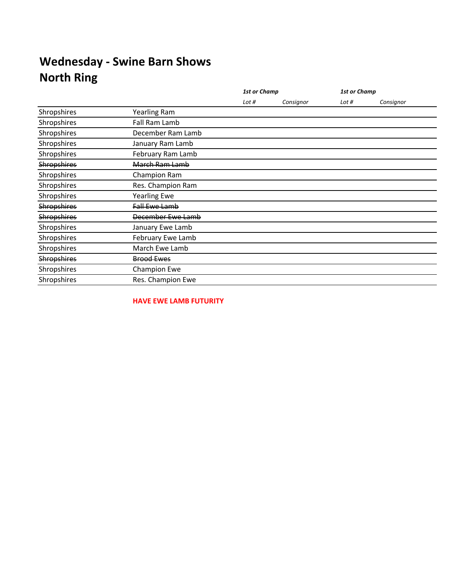|                    |                      | <b>1st or Champ</b> |           | <b>1st or Champ</b> |           |
|--------------------|----------------------|---------------------|-----------|---------------------|-----------|
|                    |                      | Lot #               | Consignor | Lot #               | Consignor |
| Shropshires        | <b>Yearling Ram</b>  |                     |           |                     |           |
| Shropshires        | Fall Ram Lamb        |                     |           |                     |           |
| Shropshires        | December Ram Lamb    |                     |           |                     |           |
| Shropshires        | January Ram Lamb     |                     |           |                     |           |
| Shropshires        | February Ram Lamb    |                     |           |                     |           |
| <b>Shropshires</b> | March Ram Lamb       |                     |           |                     |           |
| Shropshires        | Champion Ram         |                     |           |                     |           |
| Shropshires        | Res. Champion Ram    |                     |           |                     |           |
| Shropshires        | <b>Yearling Ewe</b>  |                     |           |                     |           |
| <b>Shropshires</b> | <b>Fall Ewe Lamb</b> |                     |           |                     |           |
| <b>Shropshires</b> | December Ewe Lamb    |                     |           |                     |           |
| Shropshires        | January Ewe Lamb     |                     |           |                     |           |
| Shropshires        | February Ewe Lamb    |                     |           |                     |           |
| Shropshires        | March Ewe Lamb       |                     |           |                     |           |
| <b>Shropshires</b> | <b>Brood Ewes</b>    |                     |           |                     |           |
| Shropshires        | Champion Ewe         |                     |           |                     |           |
| Shropshires        | Res. Champion Ewe    |                     |           |                     |           |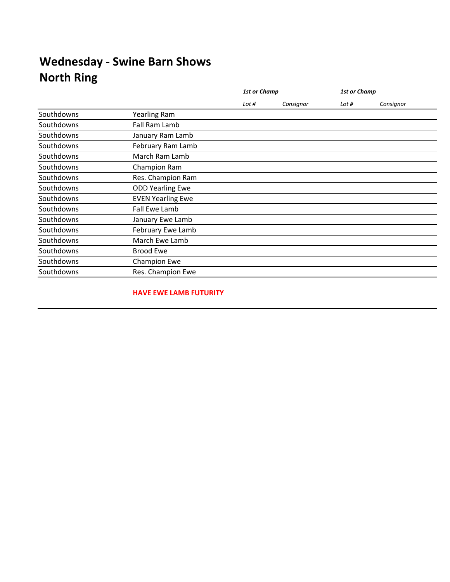|            |                          |       | <b>1st or Champ</b> |       | <b>1st or Champ</b> |
|------------|--------------------------|-------|---------------------|-------|---------------------|
|            |                          | Lot # | Consignor           | Lot # | Consignor           |
| Southdowns | <b>Yearling Ram</b>      |       |                     |       |                     |
| Southdowns | Fall Ram Lamb            |       |                     |       |                     |
| Southdowns | January Ram Lamb         |       |                     |       |                     |
| Southdowns | February Ram Lamb        |       |                     |       |                     |
| Southdowns | March Ram Lamb           |       |                     |       |                     |
| Southdowns | Champion Ram             |       |                     |       |                     |
| Southdowns | Res. Champion Ram        |       |                     |       |                     |
| Southdowns | <b>ODD Yearling Ewe</b>  |       |                     |       |                     |
| Southdowns | <b>EVEN Yearling Ewe</b> |       |                     |       |                     |
| Southdowns | Fall Ewe Lamb            |       |                     |       |                     |
| Southdowns | January Ewe Lamb         |       |                     |       |                     |
| Southdowns | February Ewe Lamb        |       |                     |       |                     |
| Southdowns | March Ewe Lamb           |       |                     |       |                     |
| Southdowns | <b>Brood Ewe</b>         |       |                     |       |                     |
| Southdowns | <b>Champion Ewe</b>      |       |                     |       |                     |
| Southdowns | Res. Champion Ewe        |       |                     |       |                     |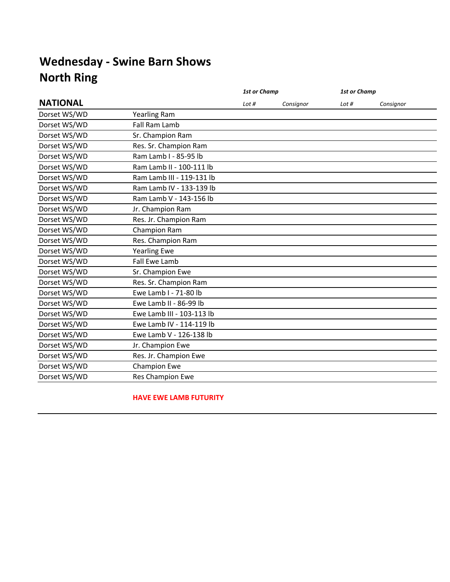|                           | <b>1st or Champ</b> |           | <b>1st or Champ</b> |           |
|---------------------------|---------------------|-----------|---------------------|-----------|
|                           | Lot $#$             | Consignor | Lot $#$             | Consignor |
| <b>Yearling Ram</b>       |                     |           |                     |           |
| Fall Ram Lamb             |                     |           |                     |           |
| Sr. Champion Ram          |                     |           |                     |           |
| Res. Sr. Champion Ram     |                     |           |                     |           |
| Ram Lamb I - 85-95 lb     |                     |           |                     |           |
| Ram Lamb II - 100-111 lb  |                     |           |                     |           |
| Ram Lamb III - 119-131 lb |                     |           |                     |           |
| Ram Lamb IV - 133-139 lb  |                     |           |                     |           |
| Ram Lamb V - 143-156 lb   |                     |           |                     |           |
| Jr. Champion Ram          |                     |           |                     |           |
| Res. Jr. Champion Ram     |                     |           |                     |           |
| Champion Ram              |                     |           |                     |           |
| Res. Champion Ram         |                     |           |                     |           |
| <b>Yearling Ewe</b>       |                     |           |                     |           |
| <b>Fall Ewe Lamb</b>      |                     |           |                     |           |
| Sr. Champion Ewe          |                     |           |                     |           |
| Res. Sr. Champion Ram     |                     |           |                     |           |
| Ewe Lamb I - 71-80 lb     |                     |           |                     |           |
| Ewe Lamb II - 86-99 lb    |                     |           |                     |           |
| Ewe Lamb III - 103-113 lb |                     |           |                     |           |
| Ewe Lamb IV - 114-119 lb  |                     |           |                     |           |
| Ewe Lamb V - 126-138 lb   |                     |           |                     |           |
| Jr. Champion Ewe          |                     |           |                     |           |
| Res. Jr. Champion Ewe     |                     |           |                     |           |
| <b>Champion Ewe</b>       |                     |           |                     |           |
| Res Champion Ewe          |                     |           |                     |           |
|                           |                     |           |                     |           |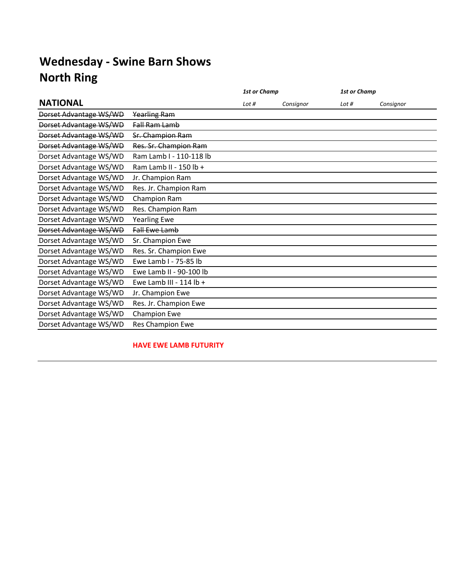|                        |                           | <b>1st or Champ</b> |           | <b>1st or Champ</b> |           |
|------------------------|---------------------------|---------------------|-----------|---------------------|-----------|
| <b>NATIONAL</b>        |                           | Lot $#$             | Consignor | Lot $#$             | Consignor |
| Dorset Advantage WS/WD | Yearling Ram              |                     |           |                     |           |
| Dorset Advantage WS/WD | Fall Ram Lamb             |                     |           |                     |           |
| Dorset Advantage WS/WD | Sr. Champion Ram          |                     |           |                     |           |
| Dorset Advantage WS/WD | Res. Sr. Champion Ram     |                     |           |                     |           |
| Dorset Advantage WS/WD | Ram Lamb I - 110-118 lb   |                     |           |                     |           |
| Dorset Advantage WS/WD | Ram Lamb II - 150 lb +    |                     |           |                     |           |
| Dorset Advantage WS/WD | Jr. Champion Ram          |                     |           |                     |           |
| Dorset Advantage WS/WD | Res. Jr. Champion Ram     |                     |           |                     |           |
| Dorset Advantage WS/WD | Champion Ram              |                     |           |                     |           |
| Dorset Advantage WS/WD | Res. Champion Ram         |                     |           |                     |           |
| Dorset Advantage WS/WD | <b>Yearling Ewe</b>       |                     |           |                     |           |
| Dorset Advantage WS/WD | <b>Fall Ewe Lamb</b>      |                     |           |                     |           |
| Dorset Advantage WS/WD | Sr. Champion Ewe          |                     |           |                     |           |
| Dorset Advantage WS/WD | Res. Sr. Champion Ewe     |                     |           |                     |           |
| Dorset Advantage WS/WD | Ewe Lamb I - 75-85 lb     |                     |           |                     |           |
| Dorset Advantage WS/WD | Ewe Lamb II - 90-100 lb   |                     |           |                     |           |
| Dorset Advantage WS/WD | Ewe Lamb III - $114$ lb + |                     |           |                     |           |
| Dorset Advantage WS/WD | Jr. Champion Ewe          |                     |           |                     |           |
| Dorset Advantage WS/WD | Res. Jr. Champion Ewe     |                     |           |                     |           |
| Dorset Advantage WS/WD | Champion Ewe              |                     |           |                     |           |
| Dorset Advantage WS/WD | Res Champion Ewe          |                     |           |                     |           |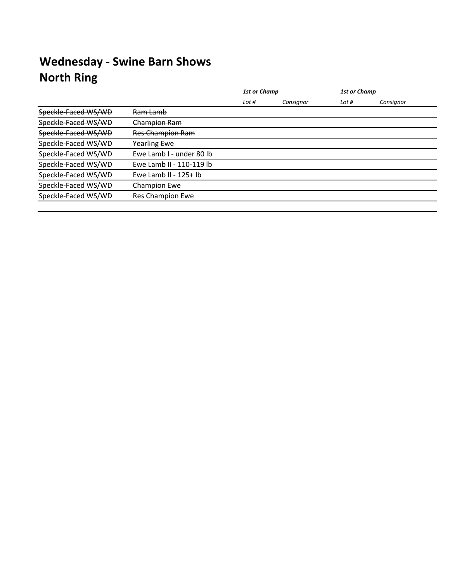|                     |                          | <b>1st or Champ</b> |           | <b>1st or Champ</b> |           |  |  |
|---------------------|--------------------------|---------------------|-----------|---------------------|-----------|--|--|
|                     |                          | Lot #               | Consignor | Lot #               | Consignor |  |  |
| Speckle-Faced WS/WD | Ram Lamb                 |                     |           |                     |           |  |  |
| Speckle-Faced WS/WD | Champion Ram             |                     |           |                     |           |  |  |
| Speckle-Faced WS/WD | Res Champion Ram         |                     |           |                     |           |  |  |
| Speckle-Faced WS/WD | <b>Yearling Ewe</b>      |                     |           |                     |           |  |  |
| Speckle-Faced WS/WD | Ewe Lamb I - under 80 lb |                     |           |                     |           |  |  |
| Speckle-Faced WS/WD | Ewe Lamb II - 110-119 lb |                     |           |                     |           |  |  |
| Speckle-Faced WS/WD | Ewe Lamb II - 125+ lb    |                     |           |                     |           |  |  |
| Speckle-Faced WS/WD | <b>Champion Ewe</b>      |                     |           |                     |           |  |  |
| Speckle-Faced WS/WD | Res Champion Ewe         |                     |           |                     |           |  |  |
|                     |                          |                     |           |                     |           |  |  |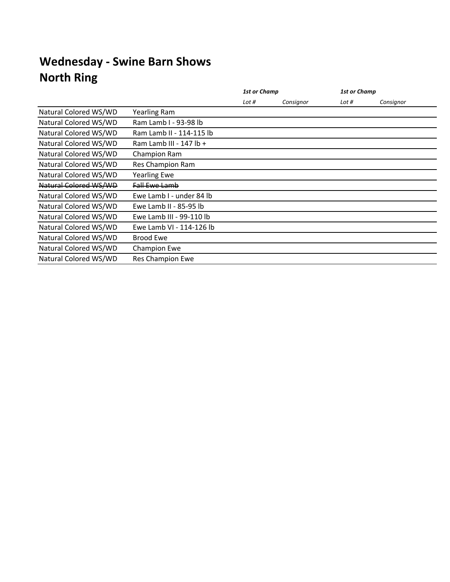|                       |                          | <b>1st or Champ</b> |           | <b>1st or Champ</b> |           |
|-----------------------|--------------------------|---------------------|-----------|---------------------|-----------|
|                       |                          | Lot #               | Consignor | Lot #               | Consignor |
| Natural Colored WS/WD | Yearling Ram             |                     |           |                     |           |
| Natural Colored WS/WD | Ram Lamb I - 93-98 lb    |                     |           |                     |           |
| Natural Colored WS/WD | Ram Lamb II - 114-115 lb |                     |           |                     |           |
| Natural Colored WS/WD | Ram Lamb III - 147 lb +  |                     |           |                     |           |
| Natural Colored WS/WD | Champion Ram             |                     |           |                     |           |
| Natural Colored WS/WD | Res Champion Ram         |                     |           |                     |           |
| Natural Colored WS/WD | <b>Yearling Ewe</b>      |                     |           |                     |           |
| Natural Colored WS/WD | Fall Ewe Lamb            |                     |           |                     |           |
| Natural Colored WS/WD | Ewe Lamb I - under 84 lb |                     |           |                     |           |
| Natural Colored WS/WD | Ewe Lamb II - 85-95 lb   |                     |           |                     |           |
| Natural Colored WS/WD | Ewe Lamb III - 99-110 lb |                     |           |                     |           |
| Natural Colored WS/WD | Ewe Lamb VI - 114-126 lb |                     |           |                     |           |
| Natural Colored WS/WD | Brood Ewe                |                     |           |                     |           |
| Natural Colored WS/WD | <b>Champion Ewe</b>      |                     |           |                     |           |
| Natural Colored WS/WD | Res Champion Ewe         |                     |           |                     |           |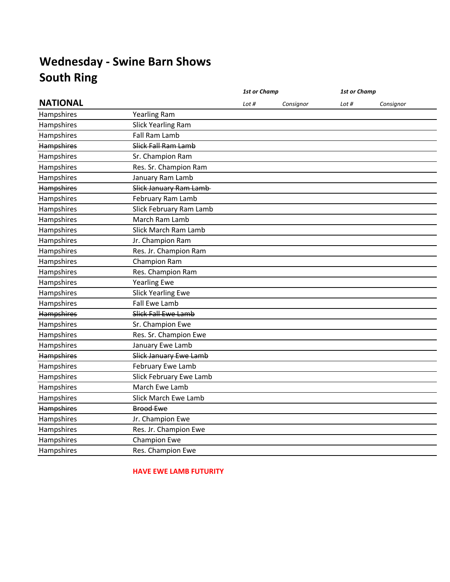|                   |                           | <b>1st or Champ</b> |           | <b>1st or Champ</b> |           |
|-------------------|---------------------------|---------------------|-----------|---------------------|-----------|
| <b>NATIONAL</b>   |                           | Lot #               | Consignor | Lot #               | Consignor |
| Hampshires        | Yearling Ram              |                     |           |                     |           |
| Hampshires        | <b>Slick Yearling Ram</b> |                     |           |                     |           |
| Hampshires        | Fall Ram Lamb             |                     |           |                     |           |
| <b>Hampshires</b> | Slick Fall Ram Lamb       |                     |           |                     |           |
| Hampshires        | Sr. Champion Ram          |                     |           |                     |           |
| Hampshires        | Res. Sr. Champion Ram     |                     |           |                     |           |
| Hampshires        | January Ram Lamb          |                     |           |                     |           |
| <b>Hampshires</b> | Slick January Ram Lamb-   |                     |           |                     |           |
| Hampshires        | February Ram Lamb         |                     |           |                     |           |
| Hampshires        | Slick February Ram Lamb   |                     |           |                     |           |
| Hampshires        | March Ram Lamb            |                     |           |                     |           |
| Hampshires        | Slick March Ram Lamb      |                     |           |                     |           |
| Hampshires        | Jr. Champion Ram          |                     |           |                     |           |
| Hampshires        | Res. Jr. Champion Ram     |                     |           |                     |           |
| Hampshires        | Champion Ram              |                     |           |                     |           |
| Hampshires        | Res. Champion Ram         |                     |           |                     |           |
| Hampshires        | <b>Yearling Ewe</b>       |                     |           |                     |           |
| Hampshires        | <b>Slick Yearling Ewe</b> |                     |           |                     |           |
| Hampshires        | Fall Ewe Lamb             |                     |           |                     |           |
| Hampshires        | Slick Fall Ewe Lamb       |                     |           |                     |           |
| Hampshires        | Sr. Champion Ewe          |                     |           |                     |           |
| Hampshires        | Res. Sr. Champion Ewe     |                     |           |                     |           |
| Hampshires        | January Ewe Lamb          |                     |           |                     |           |
| Hampshires        | Slick January Ewe Lamb    |                     |           |                     |           |
| Hampshires        | February Ewe Lamb         |                     |           |                     |           |
| Hampshires        | Slick February Ewe Lamb   |                     |           |                     |           |
| Hampshires        | March Ewe Lamb            |                     |           |                     |           |
| Hampshires        | Slick March Ewe Lamb      |                     |           |                     |           |
| <b>Hampshires</b> | <b>Brood Ewe</b>          |                     |           |                     |           |
| Hampshires        | Jr. Champion Ewe          |                     |           |                     |           |
| Hampshires        | Res. Jr. Champion Ewe     |                     |           |                     |           |
| Hampshires        | Champion Ewe              |                     |           |                     |           |
| Hampshires        | Res. Champion Ewe         |                     |           |                     |           |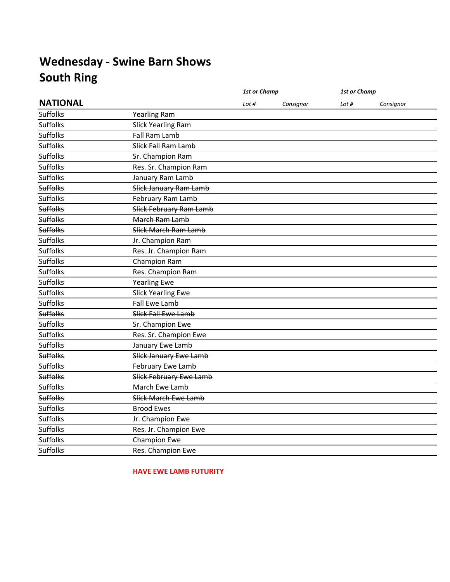|                 |                           | <b>1st or Champ</b> |           | 1st or Champ |           |
|-----------------|---------------------------|---------------------|-----------|--------------|-----------|
| <b>NATIONAL</b> |                           | Lot $#$             | Consignor | Lot $#$      | Consignor |
| Suffolks        | <b>Yearling Ram</b>       |                     |           |              |           |
| <b>Suffolks</b> | <b>Slick Yearling Ram</b> |                     |           |              |           |
| <b>Suffolks</b> | Fall Ram Lamb             |                     |           |              |           |
| <b>Suffolks</b> | Slick Fall Ram Lamb       |                     |           |              |           |
| <b>Suffolks</b> | Sr. Champion Ram          |                     |           |              |           |
| <b>Suffolks</b> | Res. Sr. Champion Ram     |                     |           |              |           |
| <b>Suffolks</b> | January Ram Lamb          |                     |           |              |           |
| <b>Suffolks</b> | Slick January Ram Lamb    |                     |           |              |           |
| <b>Suffolks</b> | February Ram Lamb         |                     |           |              |           |
| <b>Suffolks</b> | Slick February Ram Lamb   |                     |           |              |           |
| <b>Suffolks</b> | March Ram Lamb            |                     |           |              |           |
| <b>Suffolks</b> | Slick March Ram Lamb      |                     |           |              |           |
| <b>Suffolks</b> | Jr. Champion Ram          |                     |           |              |           |
| <b>Suffolks</b> | Res. Jr. Champion Ram     |                     |           |              |           |
| <b>Suffolks</b> | Champion Ram              |                     |           |              |           |
| <b>Suffolks</b> | Res. Champion Ram         |                     |           |              |           |
| Suffolks        | <b>Yearling Ewe</b>       |                     |           |              |           |
| <b>Suffolks</b> | <b>Slick Yearling Ewe</b> |                     |           |              |           |
| <b>Suffolks</b> | Fall Ewe Lamb             |                     |           |              |           |
| <b>Suffolks</b> | Slick Fall Ewe Lamb       |                     |           |              |           |
| <b>Suffolks</b> | Sr. Champion Ewe          |                     |           |              |           |
| <b>Suffolks</b> | Res. Sr. Champion Ewe     |                     |           |              |           |
| <b>Suffolks</b> | January Ewe Lamb          |                     |           |              |           |
| <b>Suffolks</b> | Slick January Ewe Lamb    |                     |           |              |           |
| <b>Suffolks</b> | February Ewe Lamb         |                     |           |              |           |
| <b>Suffolks</b> | Slick February Ewe Lamb   |                     |           |              |           |
| Suffolks        | March Ewe Lamb            |                     |           |              |           |
| <b>Suffolks</b> | Slick March Ewe Lamb      |                     |           |              |           |
| <b>Suffolks</b> | <b>Brood Ewes</b>         |                     |           |              |           |
| <b>Suffolks</b> | Jr. Champion Ewe          |                     |           |              |           |
| <b>Suffolks</b> | Res. Jr. Champion Ewe     |                     |           |              |           |
| <b>Suffolks</b> | Champion Ewe              |                     |           |              |           |
| <b>Suffolks</b> | Res. Champion Ewe         |                     |           |              |           |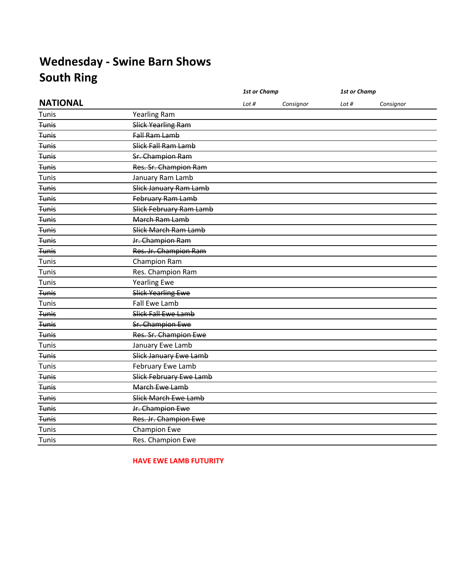|                 |                           | <b>1st or Champ</b> |           | <b>1st or Champ</b> |           |
|-----------------|---------------------------|---------------------|-----------|---------------------|-----------|
| <b>NATIONAL</b> |                           | Lot #               | Consignor | Lot #               | Consignor |
| Tunis           | <b>Yearling Ram</b>       |                     |           |                     |           |
| <b>Tunis</b>    | Slick Yearling Ram        |                     |           |                     |           |
| <b>Tunis</b>    | Fall Ram Lamb             |                     |           |                     |           |
| <b>Tunis</b>    | Slick Fall Ram Lamb       |                     |           |                     |           |
| <b>Tunis</b>    | Sr. Champion Ram          |                     |           |                     |           |
| <b>Tunis</b>    | Res. Sr. Champion Ram     |                     |           |                     |           |
| Tunis           | January Ram Lamb          |                     |           |                     |           |
| <b>Tunis</b>    | Slick January Ram Lamb    |                     |           |                     |           |
| <b>Tunis</b>    | February Ram Lamb         |                     |           |                     |           |
| <b>Tunis</b>    | Slick February Ram Lamb   |                     |           |                     |           |
| <b>Tunis</b>    | March Ram Lamb            |                     |           |                     |           |
| <b>Tunis</b>    | Slick March Ram Lamb      |                     |           |                     |           |
| <b>Tunis</b>    | Jr. Champion Ram          |                     |           |                     |           |
| <b>Tunis</b>    | Res. Jr. Champion Ram     |                     |           |                     |           |
| Tunis           | Champion Ram              |                     |           |                     |           |
| Tunis           | Res. Champion Ram         |                     |           |                     |           |
| Tunis           | <b>Yearling Ewe</b>       |                     |           |                     |           |
| <b>Tunis</b>    | <b>Slick Yearling Ewe</b> |                     |           |                     |           |
| Tunis           | Fall Ewe Lamb             |                     |           |                     |           |
| <b>Tunis</b>    | Slick Fall Ewe Lamb       |                     |           |                     |           |
| <b>Tunis</b>    | Sr. Champion Ewe          |                     |           |                     |           |
| <b>Tunis</b>    | Res. Sr. Champion Ewe     |                     |           |                     |           |
| Tunis           | January Ewe Lamb          |                     |           |                     |           |
| <b>Tunis</b>    | Slick January Ewe Lamb    |                     |           |                     |           |
| Tunis           | February Ewe Lamb         |                     |           |                     |           |
| <b>Tunis</b>    | Slick February Ewe Lamb   |                     |           |                     |           |
| <b>Tunis</b>    | March Ewe Lamb            |                     |           |                     |           |
| <b>Tunis</b>    | Slick March Ewe Lamb      |                     |           |                     |           |
| <b>Tunis</b>    | Jr. Champion Ewe          |                     |           |                     |           |
| <b>Tunis</b>    | Res. Jr. Champion Ewe     |                     |           |                     |           |
| Tunis           | Champion Ewe              |                     |           |                     |           |
| Tunis           | Res. Champion Ewe         |                     |           |                     |           |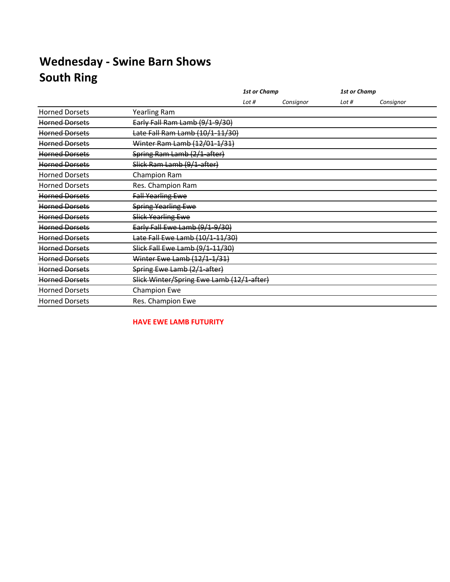|                       |                                           | <b>1st or Champ</b> |           | 1st or Champ |           |
|-----------------------|-------------------------------------------|---------------------|-----------|--------------|-----------|
|                       |                                           | Lot $#$             | Consignor | Lot $#$      | Consignor |
| <b>Horned Dorsets</b> | <b>Yearling Ram</b>                       |                     |           |              |           |
| <b>Horned Dorsets</b> | Early Fall Ram Lamb (9/1-9/30)            |                     |           |              |           |
| <b>Horned Dorsets</b> | Late Fall Ram Lamb (10/1-11/30)           |                     |           |              |           |
| <b>Horned Dorsets</b> | Winter Ram Lamb (12/01-1/31)              |                     |           |              |           |
| <b>Horned Dorsets</b> | Spring Ram Lamb (2/1-after)               |                     |           |              |           |
| <b>Horned Dorsets</b> | Slick Ram Lamb (9/1-after)                |                     |           |              |           |
| <b>Horned Dorsets</b> | Champion Ram                              |                     |           |              |           |
| <b>Horned Dorsets</b> | Res. Champion Ram                         |                     |           |              |           |
| Horned Dorsets        | <b>Fall Yearling Ewe</b>                  |                     |           |              |           |
| <b>Horned Dorsets</b> | <b>Spring Yearling Ewe</b>                |                     |           |              |           |
| <b>Horned Dorsets</b> | <b>Slick Yearling Ewe</b>                 |                     |           |              |           |
| <b>Horned Dorsets</b> | Early Fall Ewe Lamb (9/1-9/30)            |                     |           |              |           |
| <b>Horned Dorsets</b> | Late Fall Ewe Lamb (10/1-11/30)           |                     |           |              |           |
| <b>Horned Dorsets</b> | Slick Fall Ewe Lamb (9/1-11/30)           |                     |           |              |           |
| <b>Horned Dorsets</b> | Winter Ewe Lamb (12/1-1/31)               |                     |           |              |           |
| <b>Horned Dorsets</b> | Spring Ewe Lamb (2/1-after)               |                     |           |              |           |
| <b>Horned Dorsets</b> | Slick Winter/Spring Ewe Lamb (12/1-after) |                     |           |              |           |
| <b>Horned Dorsets</b> | <b>Champion Ewe</b>                       |                     |           |              |           |
| <b>Horned Dorsets</b> | Res. Champion Ewe                         |                     |           |              |           |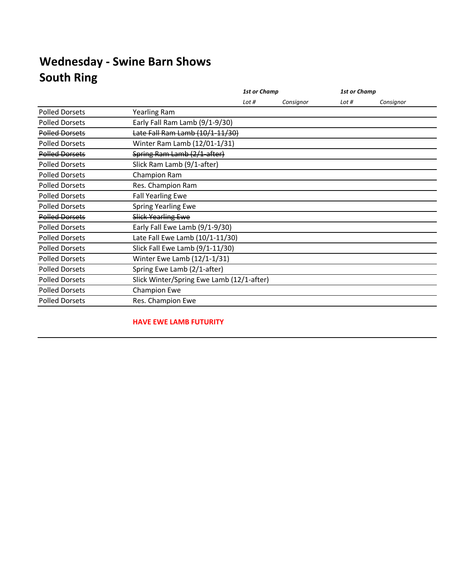|                       |                                           | <b>1st or Champ</b> |           | <b>1st or Champ</b> |           |  |
|-----------------------|-------------------------------------------|---------------------|-----------|---------------------|-----------|--|
|                       |                                           | Lot $#$             | Consignor | Lot $#$             | Consignor |  |
| <b>Polled Dorsets</b> | <b>Yearling Ram</b>                       |                     |           |                     |           |  |
| <b>Polled Dorsets</b> | Early Fall Ram Lamb (9/1-9/30)            |                     |           |                     |           |  |
| <b>Polled Dorsets</b> | Late Fall Ram Lamb (10/1-11/30)           |                     |           |                     |           |  |
| <b>Polled Dorsets</b> | Winter Ram Lamb (12/01-1/31)              |                     |           |                     |           |  |
| <b>Polled Dorsets</b> | Spring Ram Lamb (2/1-after)               |                     |           |                     |           |  |
| <b>Polled Dorsets</b> | Slick Ram Lamb (9/1-after)                |                     |           |                     |           |  |
| <b>Polled Dorsets</b> | Champion Ram                              |                     |           |                     |           |  |
| <b>Polled Dorsets</b> | Res. Champion Ram                         |                     |           |                     |           |  |
| <b>Polled Dorsets</b> | <b>Fall Yearling Ewe</b>                  |                     |           |                     |           |  |
| <b>Polled Dorsets</b> | Spring Yearling Ewe                       |                     |           |                     |           |  |
| <b>Polled Dorsets</b> | <b>Slick Yearling Ewe</b>                 |                     |           |                     |           |  |
| <b>Polled Dorsets</b> | Early Fall Ewe Lamb (9/1-9/30)            |                     |           |                     |           |  |
| <b>Polled Dorsets</b> | Late Fall Ewe Lamb (10/1-11/30)           |                     |           |                     |           |  |
| <b>Polled Dorsets</b> | Slick Fall Ewe Lamb (9/1-11/30)           |                     |           |                     |           |  |
| <b>Polled Dorsets</b> | Winter Ewe Lamb (12/1-1/31)               |                     |           |                     |           |  |
| <b>Polled Dorsets</b> | Spring Ewe Lamb (2/1-after)               |                     |           |                     |           |  |
| <b>Polled Dorsets</b> | Slick Winter/Spring Ewe Lamb (12/1-after) |                     |           |                     |           |  |
| <b>Polled Dorsets</b> | <b>Champion Ewe</b>                       |                     |           |                     |           |  |
| <b>Polled Dorsets</b> | Res. Champion Ewe                         |                     |           |                     |           |  |
|                       |                                           |                     |           |                     |           |  |